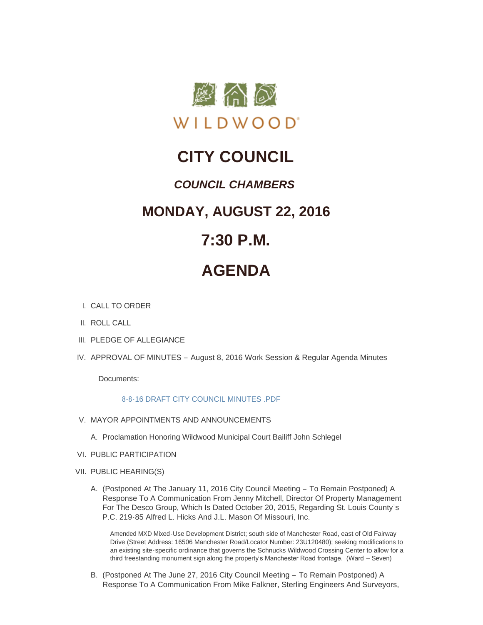

## **CITY COUNCIL**

### *COUNCIL CHAMBERS*

### **MONDAY, AUGUST 22, 2016**

### **7:30 P.M.**

# **AGENDA**

- CALL TO ORDER I.
- II. ROLL CALL
- III. PLEDGE OF ALLEGIANCE
- IV. APPROVAL OF MINUTES August 8, 2016 Work Session & Regular Agenda Minutes

Documents:

#### [8-8-16 DRAFT CITY COUNCIL MINUTES .PDF](http://mo-wildwood.civicplus.com/AgendaCenter/ViewFile/Item/7932?fileID=11708)

- V. MAYOR APPOINTMENTS AND ANNOUNCEMENTS
	- A. Proclamation Honoring Wildwood Municipal Court Bailiff John Schlegel
- VI. PUBLIC PARTICIPATION
- VII. PUBLIC HEARING(S)
	- A. (Postponed At The January 11, 2016 City Council Meeting To Remain Postponed) A Response To A Communication From Jenny Mitchell, Director Of Property Management For The Desco Group, Which Is Dated October 20, 2015, Regarding St. Louis County's P.C. 219-85 Alfred L. Hicks And J.L. Mason Of Missouri, Inc.

Amended MXD Mixed-Use Development District; south side of Manchester Road, east of Old Fairway Drive (Street Address: 16506 Manchester Road/Locator Number: 23U120480); seeking modifications to an existing site-specific ordinance that governs the Schnucks Wildwood Crossing Center to allow for a third freestanding monument sign along the property's Manchester Road frontage. (Ward - Seven)

B. (Postponed At The June 27, 2016 City Council Meeting - To Remain Postponed) A Response To A Communication From Mike Falkner, Sterling Engineers And Surveyors,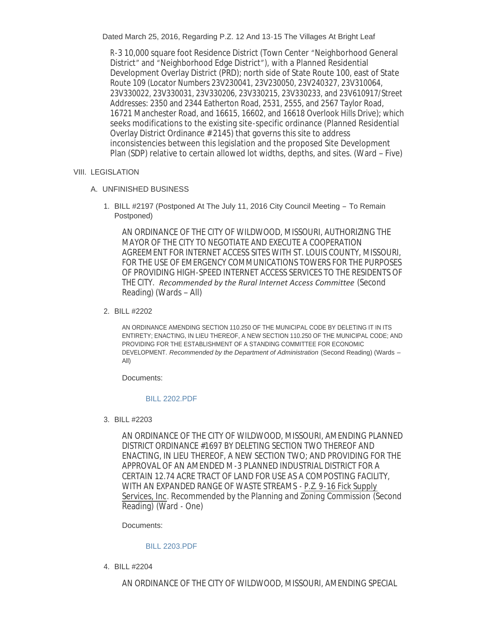Dated March 25, 2016, Regarding P.Z. 12 And 13-15 The Villages At Bright Leaf

R-3 10,000 square foot Residence District (Town Center "Neighborhood General District" and "Neighborhood Edge District"), with a Planned Residential Development Overlay District (PRD); north side of State Route 100, east of State Route 109 (Locator Numbers 23V230041, 23V230050, 23V240327, 23V310064, 23V330022, 23V330031, 23V330206, 23V330215, 23V330233, and 23V610917/Street Addresses: 2350 and 2344 Eatherton Road, 2531, 2555, and 2567 Taylor Road, 16721 Manchester Road, and 16615, 16602, and 16618 Overlook Hills Drive); which seeks modifications to the existing site-specific ordinance (Planned Residential Overlay District Ordinance # 2145) that governs this site to address inconsistencies between this legislation and the proposed Site Development Plan (SDP) relative to certain allowed lot widths, depths, and sites. (Ward – Five)

#### VIII. LEGISLATION

- UNFINISHED BUSINESS A.
	- 1. BILL #2197 (Postponed At The July 11, 2016 City Council Meeting To Remain Postponed)

AN ORDINANCE OF THE CITY OF WILDWOOD, MISSOURI, AUTHORIZING THE MAYOR OF THE CITY TO NEGOTIATE AND EXECUTE A COOPERATION AGREEMENT FOR INTERNET ACCESS SITES WITH ST. LOUIS COUNTY, MISSOURI, FOR THE USE OF EMERGENCY COMMUNICATIONS TOWERS FOR THE PURPOSES OF PROVIDING HIGH-SPEED INTERNET ACCESS SERVICES TO THE RESIDENTS OF THE CITY. *Recommended by the Rural Internet Access Committee* (Second Reading) (Wards – All)

#### BILL #2202 2.

AN ORDINANCE AMENDING SECTION 110.250 OF THE MUNICIPAL CODE BY DELETING IT IN ITS ENTIRETY; ENACTING, IN LIEU THEREOF, A NEW SECTION 110.250 OF THE MUNICIPAL CODE; AND PROVIDING FOR THE ESTABLISHMENT OF A STANDING COMMITTEE FOR ECONOMIC DEVELOPMENT. *Recommended by the Department of Administration* (Second Reading) (Wards – All)

Documents:

#### [BILL 2202.PDF](http://mo-wildwood.civicplus.com/AgendaCenter/ViewFile/Item/7942?fileID=11709)

BILL #2203 3.

AN ORDINANCE OF THE CITY OF WILDWOOD, MISSOURI, AMENDING PLANNED DISTRICT ORDINANCE #1697 BY DELETING SECTION TWO THEREOF AND ENACTING, IN LIEU THEREOF, A NEW SECTION TWO; AND PROVIDING FOR THE APPROVAL OF AN AMENDED M-3 PLANNED INDUSTRIAL DISTRICT FOR A CERTAIN 12.74 ACRE TRACT OF LAND FOR USE AS A COMPOSTING FACILITY, WITH AN EXPANDED RANGE OF WASTE STREAMS - P.Z. 9-16 Fick Supply Services, Inc. *Recommended by the Planning and Zoning Commission* (Second Reading) (Ward - One)

Documents:

#### [BILL 2203.PDF](http://mo-wildwood.civicplus.com/AgendaCenter/ViewFile/Item/7943?fileID=11710)

BILL #2204 4.

AN ORDINANCE OF THE CITY OF WILDWOOD, MISSOURI, AMENDING SPECIAL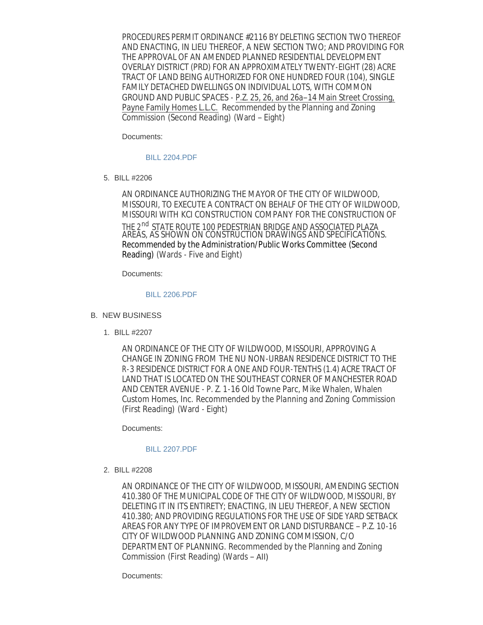PROCEDURES PERMIT ORDINANCE #2116 BY DELETING SECTION TWO THEREOF AND ENACTING, IN LIEU THEREOF, A NEW SECTION TWO; AND PROVIDING FOR THE APPROVAL OF AN AMENDED PLANNED RESIDENTIAL DEVELOPMENT OVERLAY DISTRICT (PRD) FOR AN APPROXIMATELY TWENTY-EIGHT (28) ACRE TRACT OF LAND BEING AUTHORIZED FOR ONE HUNDRED FOUR (104), SINGLE FAMILY DETACHED DWELLINGS ON INDIVIDUAL LOTS, WITH COMMON GROUND AND PUBLIC SPACES - P.Z. 25, 26, and 26a–14 Main Street Crossing, Payne Family Homes L.L.C. *Recommended by the Planning and Zoning Commission* (Second Reading) (Ward – Eight)

Documents:

#### [BILL 2204.PDF](http://mo-wildwood.civicplus.com/AgendaCenter/ViewFile/Item/7944?fileID=11711)

BILL #2206 5.

AN ORDINANCE AUTHORIZING THE MAYOR OF THE CITY OF WILDWOOD, MISSOURI, TO EXECUTE A CONTRACT ON BEHALF OF THE CITY OF WILDWOOD, MISSOURI WITH *KCI CONSTRUCTION COMPANY* FOR THE CONSTRUCTION OF THE 2<sup>nd</sup> STATE ROUTE 100 PEDESTRIAN BRIDGE AND ASSOCIATED PLAZA AREAS, AS SHOWN ON CONSTRUCTION DRAWINGS AND SPECIFICATIONS. *Recommended by the Administration/Public Works Committee* (Second Reading) (Wards - Five and Eight)

Documents:

#### [BILL 2206.PDF](http://mo-wildwood.civicplus.com/AgendaCenter/ViewFile/Item/7945?fileID=11712)

#### **B. NEW BUSINESS**

BILL #2207 1.

AN ORDINANCE OF THE CITY OF WILDWOOD, MISSOURI, APPROVING A CHANGE IN ZONING FROM THE NU NON-URBAN RESIDENCE DISTRICT TO THE R-3 RESIDENCE DISTRICT FOR A ONE AND FOUR-TENTHS (1.4) ACRE TRACT OF LAND THAT IS LOCATED ON THE SOUTHEAST CORNER OF MANCHESTER ROAD AND CENTER AVENUE - P. Z. 1-16 Old Towne Parc, Mike Whalen, Whalen Custom Homes, Inc. *Recommended by the Planning and Zoning Commission* (First Reading) (Ward - Eight)

Documents:

#### [BILL 2207.PDF](http://mo-wildwood.civicplus.com/AgendaCenter/ViewFile/Item/7947?fileID=11713)

BILL #2208 2.

AN ORDINANCE OF THE CITY OF WILDWOOD, MISSOURI, AMENDING SECTION 410.380 OF THE MUNICIPAL CODE OF THE CITY OF WILDWOOD, MISSOURI, BY DELETING IT IN ITS ENTIRETY; ENACTING, IN LIEU THEREOF, A NEW SECTION 410.380; AND PROVIDING REGULATIONS FOR THE USE OF SIDE YARD SETBACK AREAS FOR ANY TYPE OF IMPROVEMENT OR LAND DISTURBANCE – P.Z. 10-16 CITY OF WILDWOOD PLANNING AND ZONING COMMISSION, C/O DEPARTMENT OF PLANNING. *Recommended by the Planning and Zoning Commission* (First Reading) (Wards – All)

Documents: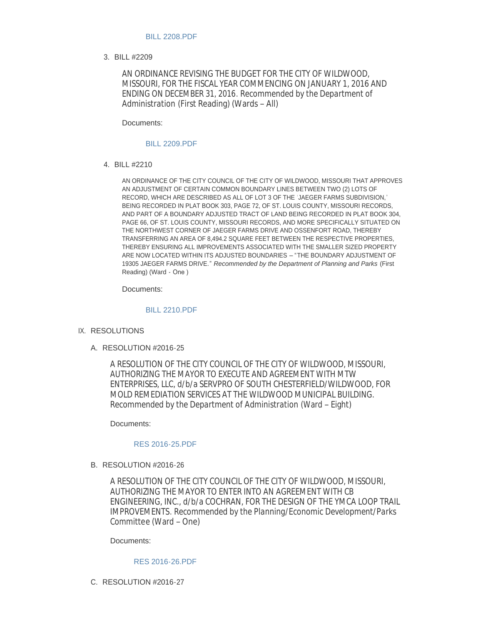#### [BILL 2208.PDF](http://mo-wildwood.civicplus.com/AgendaCenter/ViewFile/Item/7948?fileID=11714)

BILL #2209 3.

AN ORDINANCE REVISING THE BUDGET FOR THE CITY OF WILDWOOD, MISSOURI, FOR THE FISCAL YEAR COMMENCING ON JANUARY 1, 2016 AND ENDING ON DECEMBER 31, 2016. *Recommended by the Department of Administration* (First Reading) (Wards – All)

Documents:

#### [BILL 2209.PDF](http://mo-wildwood.civicplus.com/AgendaCenter/ViewFile/Item/7949?fileID=11715)

BILL #2210 4.

AN ORDINANCE OF THE CITY COUNCIL OF THE CITY OF WILDWOOD, MISSOURI THAT APPROVES AN ADJUSTMENT OF CERTAIN COMMON BOUNDARY LINES BETWEEN TWO (2) LOTS OF RECORD, WHICH ARE DESCRIBED AS ALL OF LOT 3 OF THE ' JAEGER FARMS SUBDIVISION,' BEING RECORDED IN PLAT BOOK 303, PAGE 72, OF ST. LOUIS COUNTY, MISSOURI RECORDS, AND PART OF A BOUNDARY ADJUSTED TRACT OF LAND BEING RECORDED IN PLAT BOOK 304, PAGE 66, OF ST. LOUIS COUNTY, MISSOURI RECORDS, AND MORE SPECIFICALLY SITUATED ON THE NORTHWEST CORNER OF JAEGER FARMS DRIVE AND OSSENFORT ROAD, THEREBY TRANSFERRING AN AREA OF 8,494.2 SQUARE FEET BETWEEN THE RESPECTIVE PROPERTIES, THEREBY ENSURING ALL IMPROVEMENTS ASSOCIATED WITH THE SMALLER SIZED PROPERTY ARE NOW LOCATED WITHIN ITS ADJUSTED BOUNDARIES – "THE BOUNDARY ADJUSTMENT OF 19305 JAEGER FARMS DRIVE." *Recommended by the Department of Planning and Parks* (First Reading) (Ward - One )

Documents:

#### [BILL 2210.PDF](http://mo-wildwood.civicplus.com/AgendaCenter/ViewFile/Item/7950?fileID=11716)

- IX. RESOLUTIONS
	- RESOLUTION #2016-25 A.

A RESOLUTION OF THE CITY COUNCIL OF THE CITY OF WILDWOOD, MISSOURI, AUTHORIZING THE MAYOR TO EXECUTE AND AGREEMENT WITH MTW ENTERPRISES, LLC, d/b/a SERVPRO OF SOUTH CHESTERFIELD/WILDWOOD, FOR MOLD REMEDIATION SERVICES AT THE WILDWOOD MUNICIPAL BUILDING. *Recommended by the Department of Administration* (Ward – Eight)

Documents:

#### [RES 2016-25.PDF](http://mo-wildwood.civicplus.com/AgendaCenter/ViewFile/Item/7952?fileID=11717)

#### B. RESOLUTION #2016-26

A RESOLUTION OF THE CITY COUNCIL OF THE CITY OF WILDWOOD, MISSOURI, AUTHORIZING THE MAYOR TO ENTER INTO AN AGREEMENT WITH CB ENGINEERING, INC., d/b/a COCHRAN, FOR THE DESIGN OF THE YMCA LOOP TRAIL IMPROVEMENTS. *Recommended by the Planning/Economic Development/Parks Committe*e (Ward – One)

Documents:

#### [RES 2016-26.PDF](http://mo-wildwood.civicplus.com/AgendaCenter/ViewFile/Item/7953?fileID=11718)

C. RESOLUTION #2016-27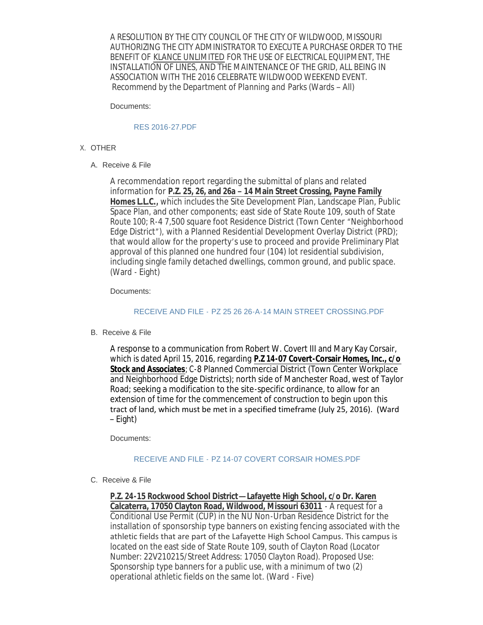A RESOLUTION BY THE CITY COUNCIL OF THE CITY OF WILDWOOD, MISSOURI AUTHORIZING THE CITY ADMINISTRATOR TO EXECUTE A PURCHASE ORDER TO THE BENEFIT OF *KLANCE UNLIMITED* FOR THE USE OF ELECTRICAL EQUIPMENT, THE INSTALLATION OF LINES, AND THE MAINTENANCE OF THE GRID, ALL BEING IN ASSOCIATION WITH THE 2016 CELEBRATE WILDWOOD WEEKEND EVENT. *Recommend by the Department of Planning and* Parks (Wards – All)

Documents:

#### [RES 2016-27.PDF](http://mo-wildwood.civicplus.com/AgendaCenter/ViewFile/Item/7954?fileID=11719)

- X. OTHER
	- A. Receive & File

A recommendation report regarding the submittal of plans and related information for **P.Z. 25, 26, and 26a – 14 Main Street Crossing, Payne Family Homes L.L.C.,** which includes the Site Development Plan, Landscape Plan, Public Space Plan, and other components; east side of State Route 109, south of State Route 100; R-4 7,500 square foot Residence District (Town Center "Neighborhood Edge District"), with a Planned Residential Development Overlay District (PRD); that would allow for the property's use to proceed and provide Preliminary Plat approval of this planned one hundred four (104) lot residential subdivision, including single family detached dwellings, common ground, and public space. (Ward - Eight)

Documents:

#### RECEIVE AND FILE - [PZ 25 26 26-A-14 MAIN STREET CROSSING.PDF](http://mo-wildwood.civicplus.com/AgendaCenter/ViewFile/Item/7955?fileID=11720)

B. Receive & File

A response to a communication from Robert W. Covert III and Mary Kay Corsair, which is dated April 15, 2016, regarding **P.Z 14-07 Covert-Corsair Homes, Inc., c/o Stock and Associates**; C-8 Planned Commercial District (Town Center Workplace and Neighborhood Edge Districts); north side of Manchester Road, west of Taylor Road; seeking a modification to the site-specific ordinance, to allow for an extension of time for the commencement of construction to begin upon this tract of land, which must be met in a specified timeframe (July 25, 2016). (Ward – Eight)

Documents:

#### RECEIVE AND FILE - [PZ 14-07 COVERT CORSAIR HOMES.PDF](http://mo-wildwood.civicplus.com/AgendaCenter/ViewFile/Item/7957?fileID=11722)

C. Receive & File

**P.Z. 24-15 Rockwood School District—Lafayette High School, c/o Dr. Karen Calcaterra, 17050 Clayton Road, Wildwood, Missouri 63011** - A request for a Conditional Use Permit (CUP) in the NU Non-Urban Residence District for the installation of sponsorship type banners on existing fencing associated with the athletic fields that are part of the Lafayette High School Campus. This campus is located on the east side of State Route 109, south of Clayton Road (Locator Number: 22V210215/Street Address: 17050 Clayton Road). Proposed Use: Sponsorship type banners for a public use, with a minimum of two (2) operational athletic fields on the same lot. (Ward - Five)